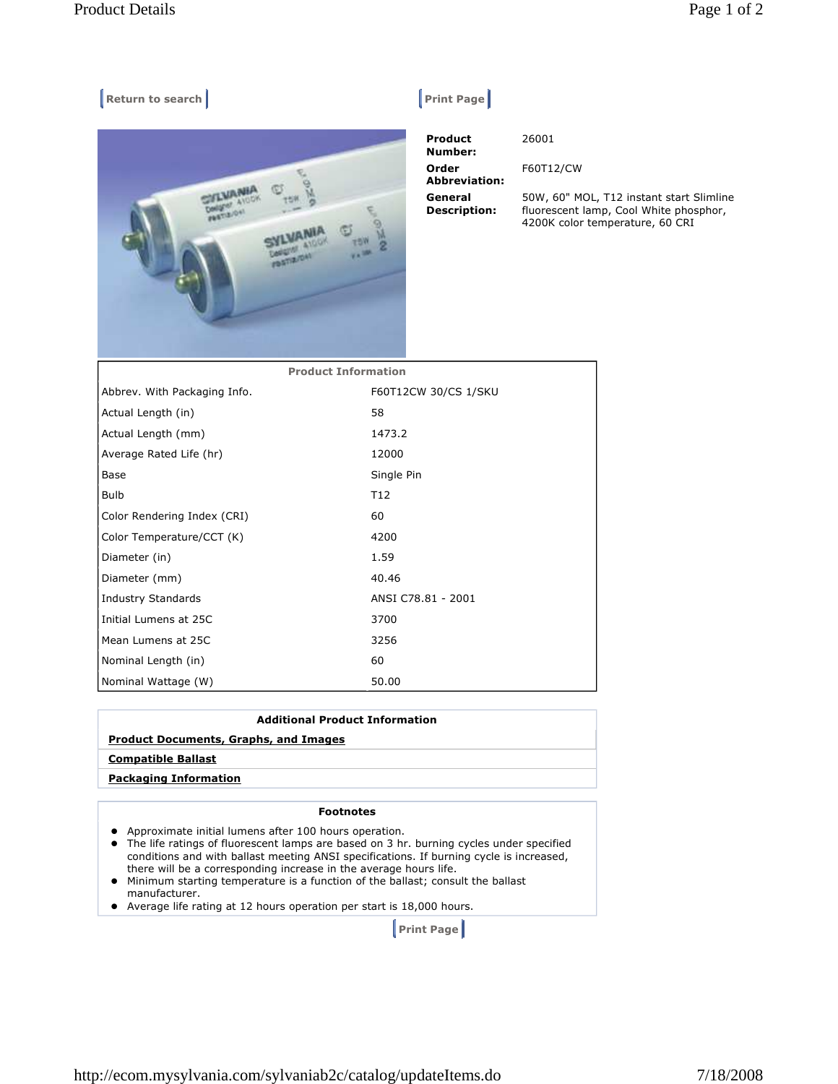## **Return to search Return Construction Construction Construction Print Page |**



| Product<br>Number:             | 26001                                    |
|--------------------------------|------------------------------------------|
| Order<br><b>Abbreviation:</b>  | F60T12/CW                                |
| General<br><b>Description:</b> | 50W, 60" MOL, T12<br>fluorescent lamp, C |

2 instant start Slimline Cool White phosphor, 4200K color temperature, 60 CRI

| <b>Product Information</b>   |                      |
|------------------------------|----------------------|
| Abbrev. With Packaging Info. | F60T12CW 30/CS 1/SKU |
| Actual Length (in)           | 58                   |
| Actual Length (mm)           | 1473.2               |
| Average Rated Life (hr)      | 12000                |
| Base                         | Single Pin           |
| Bulb                         | T <sub>12</sub>      |
| Color Rendering Index (CRI)  | 60                   |
| Color Temperature/CCT (K)    | 4200                 |
| Diameter (in)                | 1.59                 |
| Diameter (mm)                | 40.46                |
| <b>Industry Standards</b>    | ANSI C78.81 - 2001   |
| Initial Lumens at 25C        | 3700                 |
| Mean Lumens at 25C           | 3256                 |
| Nominal Length (in)          | 60                   |
| Nominal Wattage (W)          | 50.00                |

## **Additional Product Information Product Documents, Graphs, and Images Compatible Ballast Packaging Information**

## **Footnotes**

- Approximate initial lumens after 100 hours operation.
- The life ratings of fluorescent lamps are based on 3 hr. burning cycles under specified conditions and with ballast meeting ANSI specifications. If burning cycle is increased, there will be a corresponding increase in the average hours life.
- Minimum starting temperature is a function of the ballast; consult the ballast manufacturer.
- Average life rating at 12 hours operation per start is 18,000 hours.

 **Print Page**